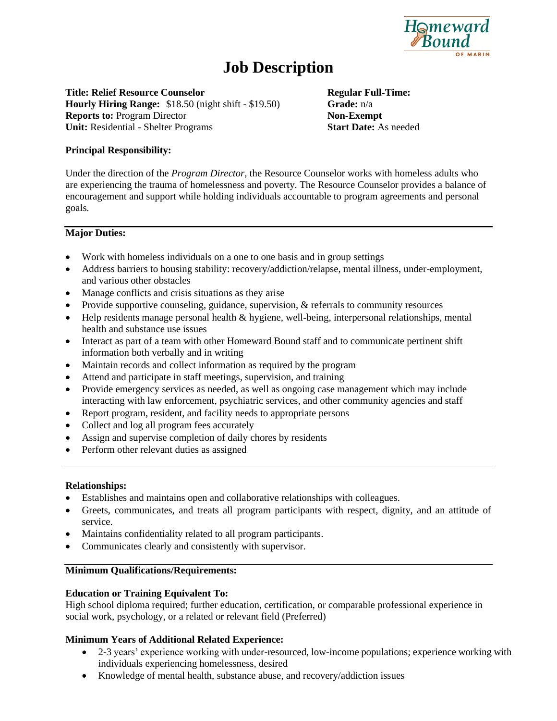

# **Job Description**

**Title: Relief Resource Counselor Regular Full-Time: Hourly Hiring Range:** \$18.50 (night shift - \$19.50) **Grade:** n/a **Reports to:** Program Director **Non-Exempt Unit:** Residential - Shelter Programs **Start Date:** As needed

## **Principal Responsibility:**

Under the direction of the *Program Director*, the Resource Counselor works with homeless adults who are experiencing the trauma of homelessness and poverty. The Resource Counselor provides a balance of encouragement and support while holding individuals accountable to program agreements and personal goals.

#### **Major Duties:**

- Work with homeless individuals on a one to one basis and in group settings
- Address barriers to housing stability: recovery/addiction/relapse, mental illness, under-employment, and various other obstacles
- Manage conflicts and crisis situations as they arise
- Provide supportive counseling, guidance, supervision, & referrals to community resources
- Help residents manage personal health & hygiene, well-being, interpersonal relationships, mental health and substance use issues
- Interact as part of a team with other Homeward Bound staff and to communicate pertinent shift information both verbally and in writing
- Maintain records and collect information as required by the program
- Attend and participate in staff meetings, supervision, and training
- Provide emergency services as needed, as well as ongoing case management which may include interacting with law enforcement, psychiatric services, and other community agencies and staff
- Report program, resident, and facility needs to appropriate persons
- Collect and log all program fees accurately
- Assign and supervise completion of daily chores by residents
- Perform other relevant duties as assigned

#### **Relationships:**

- Establishes and maintains open and collaborative relationships with colleagues.
- Greets, communicates, and treats all program participants with respect, dignity, and an attitude of service.
- Maintains confidentiality related to all program participants.
- Communicates clearly and consistently with supervisor.

#### **Minimum Qualifications/Requirements:**

#### **Education or Training Equivalent To:**

High school diploma required; further education, certification, or comparable professional experience in social work, psychology, or a related or relevant field (Preferred)

#### **Minimum Years of Additional Related Experience:**

- 2-3 years' experience working with under-resourced, low-income populations; experience working with individuals experiencing homelessness, desired
- Knowledge of mental health, substance abuse, and recovery/addiction issues